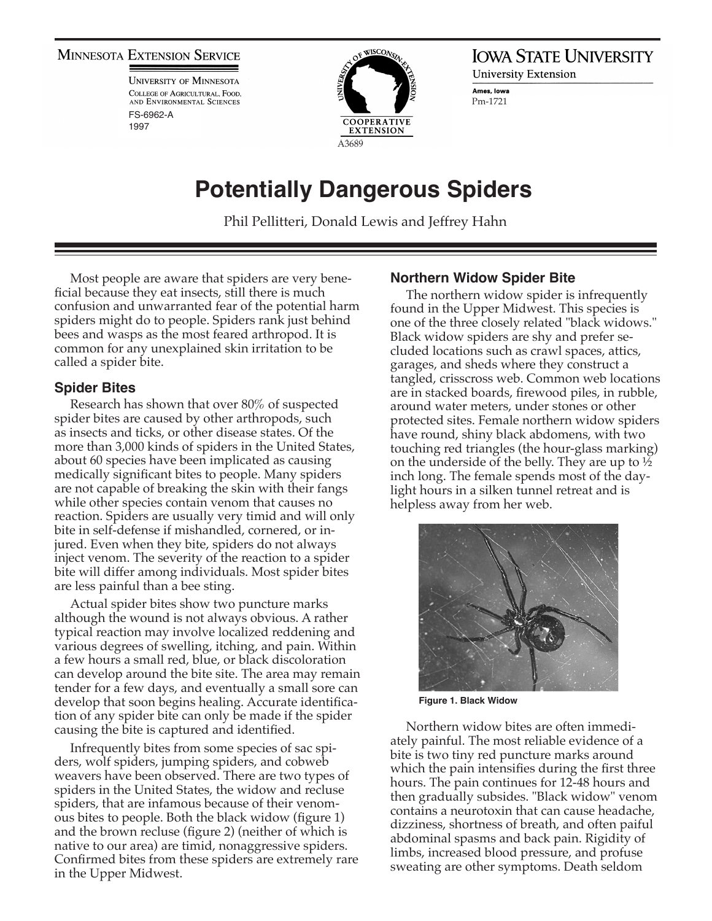#### **MINNESOTA EXTENSION SERVICE**

**UNIVERSITY OF MINNESOTA** COLLEGE OF AGRICULTURAL, FOOD. AND ENVIRONMENTAL SCIENCES FS-6962-A 1997



**IOWA STATE UNIVERSITY University Extension** Ames, Iowa Pm-1721

# **Potentially Dangerous Spiders**

Phil Pellitteri, Donald Lewis and Jeffrey Hahn

Most people are aware that spiders are very beneficial because they eat insects, still there is much confusion and unwarranted fear of the potential harm spiders might do to people. Spiders rank just behind bees and wasps as the most feared arthropod. It is common for any unexplained skin irritation to be called a spider bite.

#### **Spider Bites**

Research has shown that over 80% of suspected spider bites are caused by other arthropods, such as insects and ticks, or other disease states. Of the more than 3,000 kinds of spiders in the United States, about 60 species have been implicated as causing medically significant bites to people. Many spiders are not capable of breaking the skin with their fangs while other species contain venom that causes no reaction. Spiders are usually very timid and will only bite in self-defense if mishandled, cornered, or injured. Even when they bite, spiders do not always inject venom. The severity of the reaction to a spider bite will differ among individuals. Most spider bites are less painful than a bee sting.

Actual spider bites show two puncture marks although the wound is not always obvious. A rather typical reaction may involve localized reddening and various degrees of swelling, itching, and pain. Within a few hours a small red, blue, or black discoloration can develop around the bite site. The area may remain tender for a few days, and eventually a small sore can develop that soon begins healing. Accurate identification of any spider bite can only be made if the spider causing the bite is captured and identified.

Infrequently bites from some species of sac spiders, wolf spiders, jumping spiders, and cobweb weavers have been observed. There are two types of spiders in the United States, the widow and recluse spiders, that are infamous because of their venomous bites to people. Both the black widow (figure 1) and the brown recluse (figure 2) (neither of which is native to our area) are timid, nonaggressive spiders. Confirmed bites from these spiders are extremely rare in the Upper Midwest.

### **Northern Widow Spider Bite**

The northern widow spider is infrequently found in the Upper Midwest. This species is one of the three closely related "black widows." Black widow spiders are shy and prefer secluded locations such as crawl spaces, attics, garages, and sheds where they construct a tangled, crisscross web. Common web locations are in stacked boards, firewood piles, in rubble, around water meters, under stones or other protected sites. Female northern widow spiders have round, shiny black abdomens, with two touching red triangles (the hour-glass marking) on the underside of the belly. They are up to ½ inch long. The female spends most of the daylight hours in a silken tunnel retreat and is helpless away from her web.



**Figure 1. Black Widow**

Northern widow bites are often immediately painful. The most reliable evidence of a bite is two tiny red puncture marks around which the pain intensifies during the first three hours. The pain continues for 12-48 hours and then gradually subsides. "Black widow" venom contains a neurotoxin that can cause headache, dizziness, shortness of breath, and often paiful abdominal spasms and back pain. Rigidity of limbs, increased blood pressure, and profuse sweating are other symptoms. Death seldom